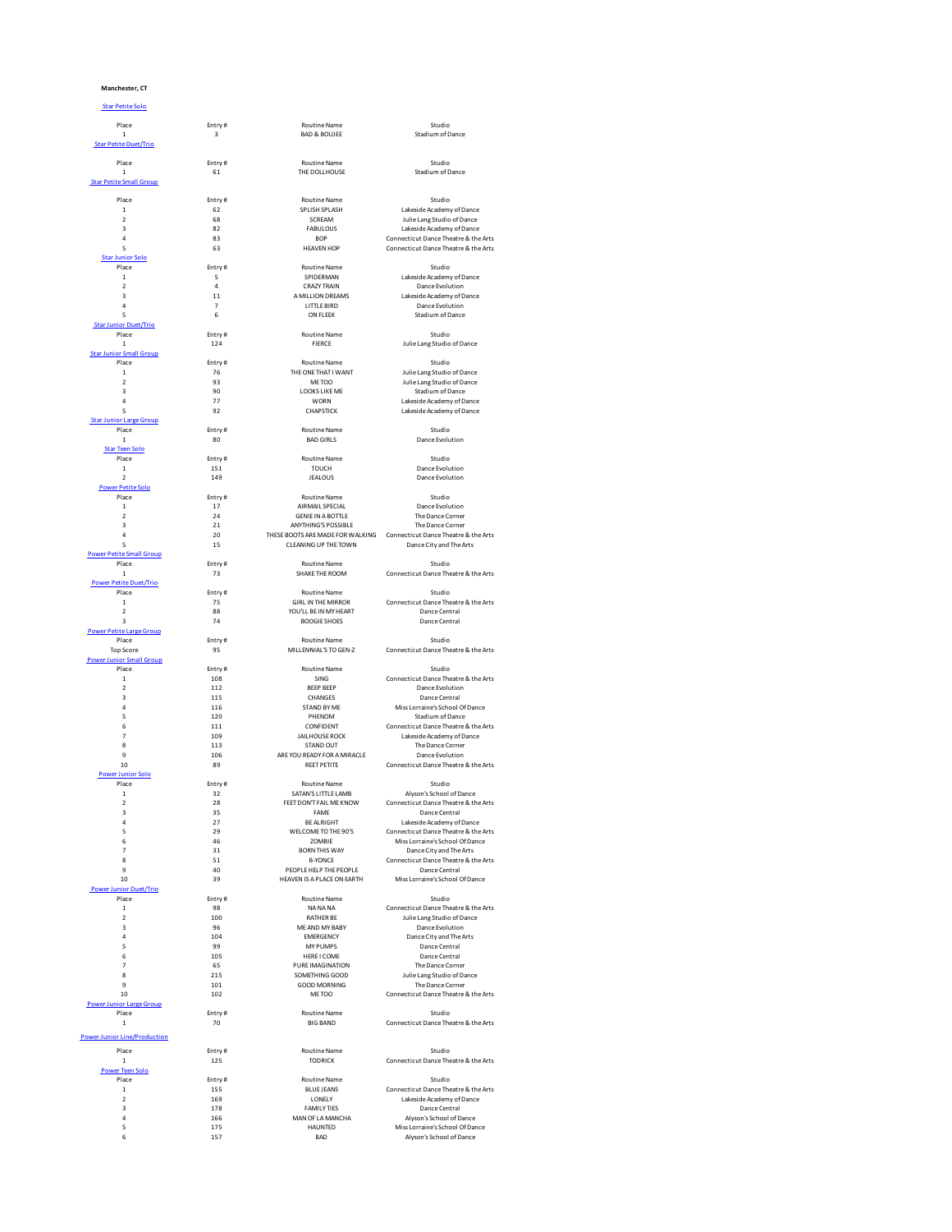## **Manchester, CT**

Star Petite Solo

| Place                                         | Entry#                  | <b>Routine Name</b>                                    | Studio                                                            |
|-----------------------------------------------|-------------------------|--------------------------------------------------------|-------------------------------------------------------------------|
| $\mathbf{1}$                                  | $\overline{\mathbf{3}}$ | <b>BAD &amp; BOUJEE</b>                                | Stadium of Dance                                                  |
| <b>Star Petite Duet/Trio</b>                  |                         |                                                        |                                                                   |
| Place                                         | Entry#                  | <b>Routine Name</b>                                    | Studio                                                            |
| $\,$ 1 $\,$<br><b>Star Petite Small Group</b> | 61                      | THE DOLLHOUSE                                          | Stadium of Dance                                                  |
|                                               |                         |                                                        |                                                                   |
| Place<br>$\,$ 1 $\,$                          | Entry#<br>62            | <b>Routine Name</b><br>SPLISH SPLASH                   | Studio<br>Lakeside Academy of Dance                               |
| $\boldsymbol{2}$                              | 68                      | SCREAM                                                 | Julie Lang Studio of Dance                                        |
| $\overline{3}$                                | 82                      | <b>FABULOUS</b>                                        | Lakeside Academy of Dance                                         |
| $\overline{a}$                                | 83                      | <b>BOP</b>                                             | Connecticut Dance Theatre & the Arts                              |
| 5<br><b>Star Junior Solo</b>                  | 63                      | <b>HEAVEN HOP</b>                                      | Connecticut Dance Theatre & the Arts                              |
| Place                                         | Entry#                  | Routine Name                                           | Studio                                                            |
| $\mathbf 1$<br>$\mathbf 2$                    | 5<br>4                  | SPIDERMAN<br><b>CRAZY TRAIN</b>                        | Lakeside Academy of Dance                                         |
| $\overline{3}$                                | 11                      | A MILLION DREAMS                                       | Dance Evolution<br>Lakeside Academy of Dance                      |
| $\overline{a}$                                | 7                       | LITTLE BIRD                                            | Dance Evolution                                                   |
| 5                                             | 6                       | ON FLEEK                                               | Stadium of Dance                                                  |
| <b>Star Junior Duet/Trio</b><br>Place         | Entry#                  | <b>Routine Name</b>                                    | Studio                                                            |
| $\mathbf{1}$                                  | 124                     | <b>FIFRCF</b>                                          | Julie Lang Studio of Dance                                        |
| <b>Star Junior Small Group</b>                |                         |                                                        |                                                                   |
| Place<br>$\mathbf 1$                          | Entry#<br>76            | Routine Name<br>THE ONE THAT I WANT                    | Studio<br>Julie Lang Studio of Dance                              |
| $\mathbf 2$                                   | 93                      | ME TOO                                                 | Julie Lang Studio of Dance                                        |
| 3                                             | 90                      | <b>LOOKS LIKE ME</b>                                   | Stadium of Dance                                                  |
| $\ddot{4}$<br>5                               | 77<br>92                | <b>WORN</b><br>CHAPSTICK                               | Lakeside Academy of Dance<br>Lakeside Academy of Dance            |
| Star Junior Large Group                       |                         |                                                        |                                                                   |
| Place                                         | Entry#                  | <b>Routine Name</b>                                    | Studio                                                            |
| $\mathbf 1$<br><b>Star Teen Solo</b>          | 80                      | <b>BAD GIRLS</b>                                       | Dance Evolution                                                   |
| Place                                         | Entry#                  | Routine Name                                           | Studio                                                            |
| $\mathbf 1$                                   | 151                     | TOUCH                                                  | Dance Evolution                                                   |
| $\mathbf 2$<br><b>Power Petite Solo</b>       | 149                     | <b>JEALOUS</b>                                         | Dance Evolution                                                   |
| Place                                         | Entry#                  | <b>Routine Name</b>                                    | Studio                                                            |
| $\,$ 1 $\,$<br>$\mathfrak{p}$                 | 17<br>24                | AIRMAIL SPECIAL                                        | Dance Evolution                                                   |
| $\overline{3}$                                | 21                      | <b>GENIE IN A BOTTLE</b><br><b>ANYTHING'S POSSIBLE</b> | The Dance Corner<br>The Dance Corner                              |
| $\overline{a}$                                | 20                      | THESE BOOTS ARE MADE FOR WALKING                       | Connecticut Dance Theatre & the Arts                              |
| 5                                             | 15                      | <b>CLEANING UP THE TOWN</b>                            | Dance City and The Arts                                           |
| <b>Power Petite Small Group</b><br>Place      | Entry#                  | <b>Routine Name</b>                                    | Studio                                                            |
| $\mathbf{1}$                                  | 73                      | SHAKE THE ROOM                                         | Connecticut Dance Theatre & the Arts                              |
| <b>Power Petite Duet/Trio</b>                 |                         |                                                        |                                                                   |
| Place<br>$\,$ 1 $\,$                          | Entry#<br>75            | <b>Routine Name</b><br><b>GIRL IN THE MIRROR</b>       | Studio<br>Connecticut Dance Theatre & the Arts                    |
| $\mathbf 2$                                   | 88                      | YOU'LL BE IN MY HEART                                  | Dance Central                                                     |
| $\overline{3}$                                | 74                      | <b>BOOGLE SHOES</b>                                    | Dance Central                                                     |
| <b>Power Petite Large Group</b><br>Place      | Entry#                  | Routine Name                                           | Studio                                                            |
| <b>Top Score</b>                              | 95                      | MILLENNIAL'S TO GEN-Z                                  | Connecticut Dance Theatre & the Arts                              |
| <b>Power Junior Small Group</b>               |                         |                                                        |                                                                   |
| Place<br>$\mathbf 1$                          | Entry#<br>108           | Routine Name<br>SING                                   | Studio<br>Connecticut Dance Theatre & the Arts                    |
| $\mathfrak{p}$                                | 112                     | <b>BEEP BEEP</b>                                       | Dance Evolution                                                   |
| $\overline{\mathbf{3}}$                       | 115                     | CHANGES                                                | Dance Central                                                     |
| $\overline{a}$<br>5                           | 116<br>120              | STAND BY ME<br>PHENOM                                  | Miss Lorraine's School Of Dance<br>Stadium of Dance               |
| 6                                             | 111                     | CONFIDENT                                              | Connecticut Dance Theatre & the Arts                              |
| $\overline{7}$                                | 109                     | <b>JAILHOUSE ROCK</b>                                  | Lakeside Academy of Dance                                         |
| 8<br>9                                        | 113<br>106              | STAND OUT<br>ARE YOU READY FOR A MIRACLE               | The Dance Corner<br>Dance Evolution                               |
| 10                                            | 89                      | <b>REET PETITE</b>                                     | Connecticut Dance Theatre & the Arts                              |
| Power Junior Solo                             |                         |                                                        |                                                                   |
| Place<br>$\,$ 1 $\,$                          | Entry#<br>32            | <b>Routine Name</b><br>SATAN'S LITTLE LAMB             | Studio<br>Alyson's School of Dance                                |
| $\overline{2}$                                | 28                      | FEET DON'T FAIL ME KNOW                                | Connecticut Dance Theatre & the Arts                              |
| 3                                             | 35                      | FAME                                                   | Dance Central                                                     |
| 4<br>5                                        | 27<br>29                | <b>BE ALRIGHT</b><br>WELCOME TO THE 90'S               | Lakeside Academy of Dance<br>Connecticut Dance Theatre & the Arts |
| 6                                             | 46                      | ZOMBIE                                                 | Miss Lorraine's School Of Dance                                   |
| 7                                             | 31                      | <b>BORN THIS WAY</b>                                   | Dance City and The Arts                                           |
| 8<br>$\ddot{q}$                               | 51<br>40                | <b>B-YONCE</b><br>PEOPLE HELP THE PEOPLE               | Connecticut Dance Theatre & the Arts<br>Dance Central             |
| 10                                            | 39                      | HEAVEN IS A PLACE ON EARTH                             | Miss Lorraine's School Of Dance                                   |
| <b>Power Junior Duet/Trio</b><br>Place        |                         | <b>Routine Name</b>                                    | Studio                                                            |
| $\mathbf{1}$                                  | Entry#<br>98            | NA NA NA                                               | Connecticut Dance Theatre & the Arts                              |
| $\mathfrak{p}$                                | 100                     | <b>RATHER BE</b>                                       | Julie Lang Studio of Dance                                        |
| $\overline{3}$                                | 96                      | MF AND MY BARY                                         | Dance Evolution                                                   |
| $\overline{a}$<br>5                           | 104<br>99               | EMERGENCY<br>MY PUMPS                                  | Dance City and The Arts<br>Dance Central                          |
| 6                                             | 105                     | HERE I COME                                            | Dance Central                                                     |
| $\overline{7}$                                | 65                      | PURE IMAGINATION<br>SOMETHING GOOD                     | The Dance Corner                                                  |
| 8<br>$\ddot{q}$                               | 215<br>101              | <b>GOOD MORNING</b>                                    | Julie Lang Studio of Dance<br>The Dance Corner                    |
| 10                                            | 102                     | ME TOO                                                 | Connecticut Dance Theatre & the Arts                              |
| <b>Power Junior Large Group</b>               |                         |                                                        |                                                                   |
| Place<br>$\mathbf{1}$                         | Entry#<br>70            | Routine Name<br><b>BIG BAND</b>                        | Studio<br>Connecticut Dance Theatre & the Arts                    |
|                                               |                         |                                                        |                                                                   |
| <b>Power Junior Line/Production</b><br>Place  |                         |                                                        |                                                                   |
|                                               |                         | Routine Name                                           | Studio                                                            |
| $\mathbf{1}$                                  | Entry#                  | <b>TODRICK</b>                                         |                                                                   |
| <b>Power Teen Solo</b>                        | 125                     |                                                        | Connecticut Dance Theatre & the Arts                              |
| Place                                         | Entry#                  | <b>Routine Name</b>                                    | Studio                                                            |
| $\,$ 1 $\,$<br>$\mathbf 2$                    | 155<br>169              | <b>BLUE JEANS</b><br>LONELY                            | Connecticut Dance Theatre & the Arts                              |
| $\overline{\mathbf{3}}$                       | 178                     | <b>FAMILY TIFS</b>                                     | Lakeside Academy of Dance<br>Dance Central                        |
| $\overline{a}$<br>5                           | 166<br>175              | MAN OF LA MANCHA<br><b>HAUNTED</b>                     | Alyson's School of Dance<br>Miss Lorraine's School Of Dance       |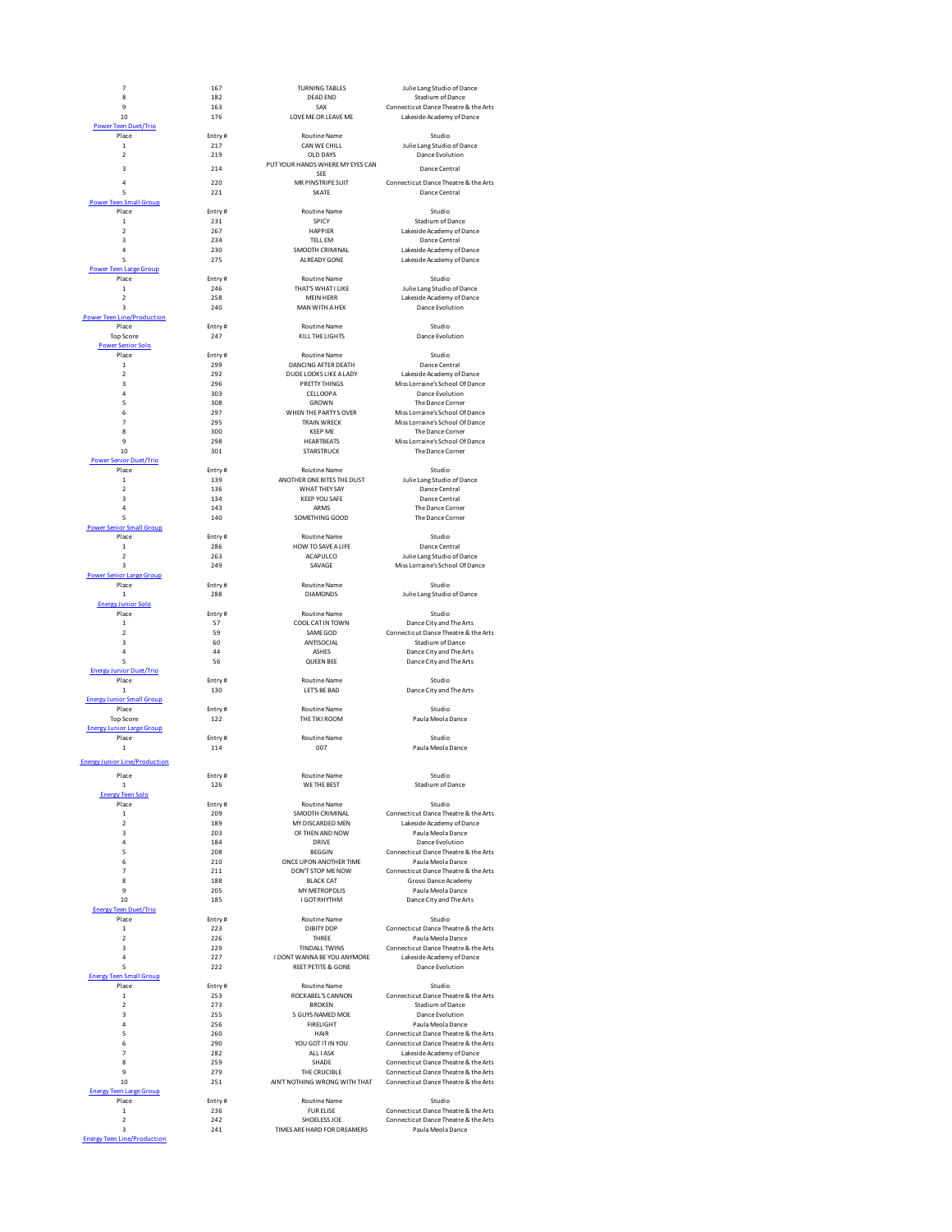

| $\overline{7}$                   | 167           | <b>TURNING TABLES</b>                                    | Julie Lang Studio of Dance                                        |
|----------------------------------|---------------|----------------------------------------------------------|-------------------------------------------------------------------|
| 8                                | 182           | <b>DEAD END</b>                                          | Stadium of Dance                                                  |
| 9<br>10                          | 163<br>176    | SAX<br>LOVE ME OR LEAVE ME                               | Connecticut Dance Theatre & the Arts<br>Lakeside Academy of Dance |
| r Teen Duet/Trio                 |               |                                                          |                                                                   |
| Place                            | Entry#        | <b>Routine Name</b>                                      | Studio                                                            |
| $\mathbf{1}$                     | 217           | CAN WE CHILL                                             | Julie Lang Studio of Dance                                        |
| $\mathfrak{p}$                   | 219           | OLD DAYS<br>PUT YOUR HANDS WHERE MY EYES CAN             | Dance Evolution                                                   |
| $\overline{\mathbf{3}}$          | 214           | SFF                                                      | Dance Central                                                     |
| $\overline{a}$                   | 220           | MR PINSTRIPE SUIT                                        | Connecticut Dance Theatre & the Arts                              |
| 5                                | 221           | SKATF                                                    | Dance Central                                                     |
| Teen Small Group<br>Place        | Entry#        | Routine Name                                             | Studio                                                            |
| $\mathbf{1}$                     | 231           | SPICY                                                    | Stadium of Dance                                                  |
| $\mathcal{P}$                    | 267           | HAPPIER                                                  | Lakeside Academy of Dance                                         |
| 3<br>$\overline{a}$              | 234           | TELL EM                                                  | Dance Central                                                     |
| 5                                | 230<br>275    | SMOOTH CRIMINAL<br>ALREADY GONE                          | Lakeside Academy of Dance<br>Lakeside Academy of Dance            |
| Teen Large Group                 |               |                                                          |                                                                   |
| Place                            | Entry#        | <b>Routine Name</b>                                      | Studio                                                            |
| $\mathbf{1}$<br>$\mathfrak{p}$   | 246<br>258    | THAT'S WHAT I LIKE<br><b>MFIN HFRR</b>                   | Julie Lang Studio of Dance<br>Lakeside Academy of Dance           |
| $\overline{3}$                   | 240           | MAN WITH A HEX                                           | Dance Evolution                                                   |
| n Line/Production                |               |                                                          |                                                                   |
| Place                            | Entry#        | <b>Routine Name</b>                                      | Studio                                                            |
| <b>Top Score</b>                 | 247           | KILL THE LIGHTS                                          | Dance Evolution                                                   |
| er Senior Solo<br>Place          | Entry#        | <b>Routine Name</b>                                      | Studio                                                            |
| $\mathbf 1$                      | 299           | DANCING AFTER DEATH                                      | Dance Central                                                     |
| $\mathfrak{p}$                   | 292           | DUDE LOOKS LIKE A LADY                                   | Lakeside Academy of Dance                                         |
| $\overline{3}$<br>$\overline{a}$ | 296<br>303    | PRETTY THINGS<br>CELLOOPA                                | Miss Lorraine's School Of Dance                                   |
| 5                                | 308           | <b>GROWN</b>                                             | Dance Evolution<br>The Dance Corner                               |
| 6                                | 297           | WHEN THE PARTY SOVER                                     | Miss Lorraine's School Of Dance                                   |
| $\overline{7}$                   | 295           | <b>TRAIN WRECK</b>                                       | Miss Lorraine's School Of Dance                                   |
| 8<br>$\mathbf{q}$                | 300           | <b>KEEP ME</b>                                           | The Dance Corner                                                  |
| 10                               | 298<br>301    | <b>HEARTBEATS</b><br><b>STARSTRUCK</b>                   | Miss Lorraine's School Of Dance<br>The Dance Corner               |
| <b>Senior Duet/Trio</b>          |               |                                                          |                                                                   |
| Place                            | Entry#        | <b>Routine Name</b>                                      | Studio                                                            |
| $\mathbf{1}$                     | 139           | ANOTHER ONE BITES THE DUST<br><b><i>MHATTHEY SAY</i></b> | Julie Lang Studio of Dance                                        |
| $\mathfrak{p}$<br>$\overline{3}$ | 136<br>134    | KEEP YOU SAFE                                            | Dance Central<br>Dance Central                                    |
| $\overline{a}$                   | 143           | ARMS                                                     | The Dance Corner                                                  |
| 5                                | 140           | SOMETHING GOOD                                           | The Dance Corner                                                  |
| enior Small Group                |               |                                                          |                                                                   |
| Place<br>$\mathbf{1}$            | Entry#<br>286 | <b>Routine Name</b><br>HOW TO SAVE A LIFE                | Studio<br>Dance Central                                           |
| $\mathbf 2$                      | 263           | ACAPULCO                                                 | Julie Lang Studio of Dance                                        |
| $\overline{\mathbf{3}}$          | 249           | SAVAGE                                                   | Miss Lorraine's School Of Dance                                   |
| enior Large Group                |               |                                                          |                                                                   |
| Place<br>1                       | Entry#<br>288 | <b>Routine Name</b><br><b>DIAMONDS</b>                   | Studio<br>Julie Lang Studio of Dance                              |
| ev Junior Solo                   |               |                                                          |                                                                   |
| Place                            | Entry#        | <b>Routine Name</b>                                      | Studio                                                            |
| $\mathbf{1}$                     | 57            | COOL CAT IN TOWN                                         | Dance City and The Arts                                           |
| $\overline{2}$<br>3              | 59<br>60      | SAME GOD<br>ANTISOCIAL                                   | Connecticut Dance Theatre & the Arts<br>Stadium of Dance          |
| 4                                | 44            | ASHES                                                    | Dance City and The Arts                                           |
| 5                                | 56            | <b>QUEEN BEE</b>                                         | Dance City and The Arts                                           |
| <b>Junior Duet/Trio</b>          |               |                                                          |                                                                   |
| Place<br>$\mathbf{1}$            | Entry#<br>130 | <b>Routine Name</b><br><b>I FT'S BF BAD</b>              | Studio<br>Dance City and The Arts                                 |
| unior Small Group                |               |                                                          |                                                                   |
| Place                            | Entry#        | <b>Routine Name</b>                                      | Studio                                                            |
| <b>Top Score</b>                 | 122           | THE TIKI ROOM                                            | Paula Meola Dance                                                 |
| unior Large Group<br>Place       | Entry#        | <b>Routine Name</b>                                      | Studio                                                            |
| $\mathbf{1}$                     | 114           | 007                                                      | Paula Meola Dance                                                 |
| ior Line/Production              |               |                                                          |                                                                   |
| Place                            | Entry#        | <b>Routine Name</b>                                      | Studio                                                            |
| $\mathbf{1}$                     | 126           | WE THE BEST                                              | Stadium of Dance                                                  |
| rev Teen Solo                    |               |                                                          |                                                                   |
| Place                            | Entry#        | <b>Routine Name</b>                                      | Studio                                                            |
| $\mathbf{1}$<br>$\mathcal{P}$    | 209<br>189    | SMOOTH CRIMINAL<br>MY DISCARDED MEN                      | Connecticut Dance Theatre & the Arts<br>Lakeside Academy of Dance |
| 3                                | 203           | OF THEN AND NOW                                          | Paula Meola Dance                                                 |
| 4                                | 184           | <b>DRIVE</b>                                             | Dance Evolution                                                   |
| 5                                | 208           | <b>BEGGIN</b>                                            | Connecticut Dance Theatre & the Arts                              |
| 6<br>$\overline{7}$              | 210<br>211    | ONCE UPON ANOTHER TIME<br>DON'T STOP ME NOW              | Paula Meola Dance<br>Connecticut Dance Theatre & the Arts         |
| 8                                | 188           | <b>BLACK CAT</b>                                         | Grossi Dance Academy                                              |
| $\mathbf{q}$                     | 205           | MY METROPOLIS                                            | Paula Meola Dance                                                 |
| 10                               | 185           | I GOT RHYTHM                                             | Dance City and The Arts                                           |
| Teen Duet/Trio                   |               |                                                          | Studio                                                            |
| Place<br>$\mathbf{1}$            | Entry#<br>223 | Routine Name<br>DIBITY DOP                               | Connecticut Dance Theatre & the Arts                              |
| $\overline{\mathbf{c}}$          | 226           | THREE                                                    | Paula Meola Dance                                                 |
| 3                                | 229           | <b>TINDALL TWINS</b>                                     | Connecticut Dance Theatre & the Arts                              |
| 4<br>5                           | 227<br>222    | I DONT WANNA BE YOU ANYMORE<br>REET PETITE & GONE        | Lakeside Academy of Dance<br>Dance Evolution                      |
| <b>Teen Small Group</b>          |               |                                                          |                                                                   |
| Place                            | Entry#        | Routine Name                                             | Studio                                                            |
| $\mathbf{1}$                     | 253           | ROCKABEL'S CANNON                                        | Connecticut Dance Theatre & the Arts                              |
| $\mathcal{P}$<br>3               | 273<br>255    | <b>BROKEN</b>                                            | Stadium of Dance                                                  |
| $\overline{a}$                   | 256           | 5 GUYS NAMED MOE<br>FIRELIGHT                            | Dance Evolution<br>Paula Meola Dance                              |
| 5                                | 260           | <b>HAIR</b>                                              | Connecticut Dance Theatre & the Arts                              |
| 6                                | 290           | YOU GOT IT IN YOU                                        | Connecticut Dance Theatre & the Arts                              |
| $\overline{7}$<br>8              | 282<br>259    | ALL I ASK<br>SHADE                                       | Lakeside Academy of Dance<br>Connecticut Dance Theatre & the Arts |
| $\ddot{q}$                       | 279           | THE CRUCIBLE                                             | Connecticut Dance Theatre & the Arts                              |
| 10                               | 251           | AIN'T NOTHING WRONG WITH THAT                            | Connecticut Dance Theatre & the Arts                              |
| <b>Teen Large Group</b>          |               |                                                          |                                                                   |
| Place<br>$\mathbf{1}$            | Entry#<br>236 | <b>Routine Name</b><br><b>FUR ELISE</b>                  | Studio<br>Connecticut Dance Theatre & the Arts                    |
| $\overline{2}$                   | 242           | SHOELESS JOE                                             | Connecticut Dance Theatre & the Arts                              |
| $\overline{\mathbf{3}}$          | 241           | TIMES ARE HARD FOR DREAMERS                              | Paula Meola Dance                                                 |
| en Line/Production               |               |                                                          |                                                                   |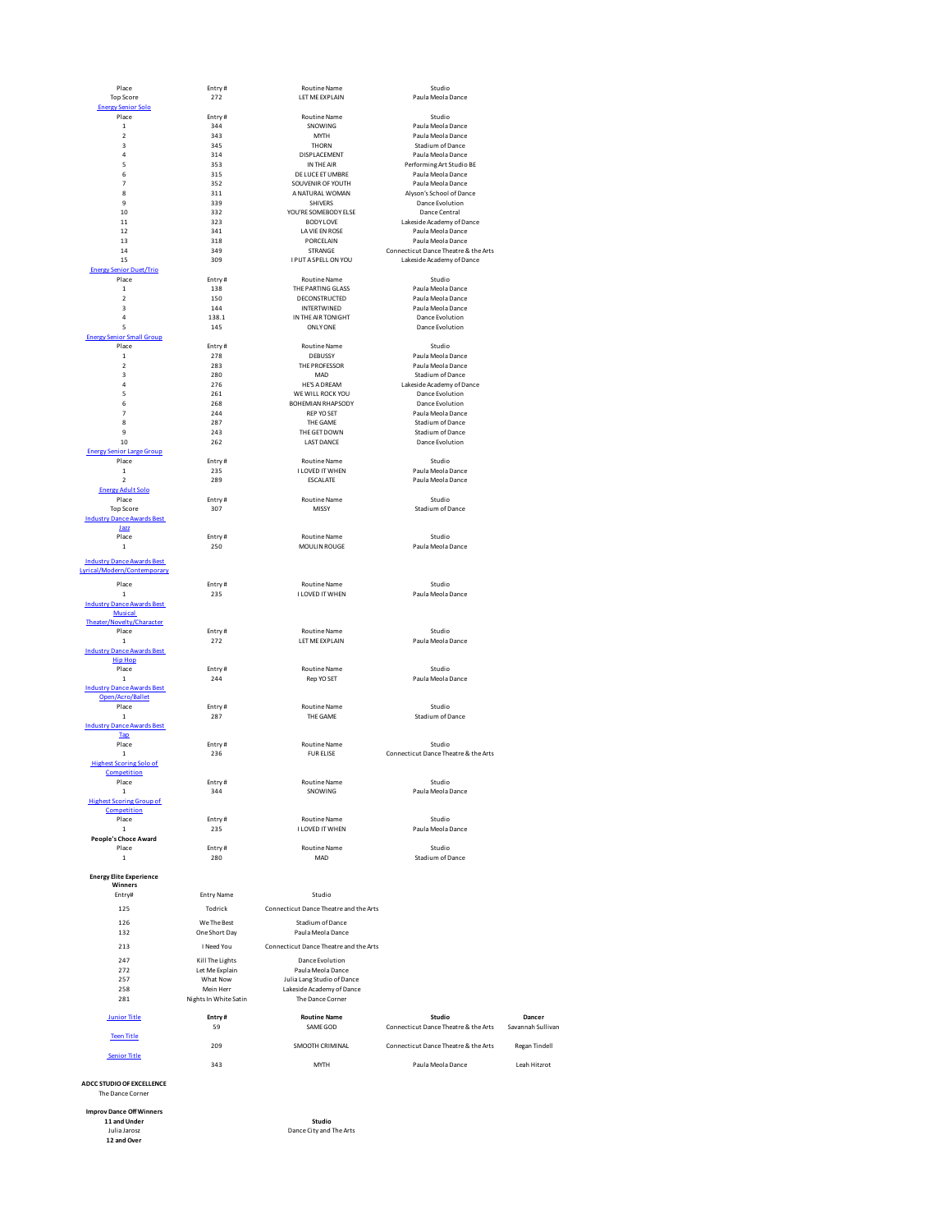| Place                                         | Entry#                | <b>Routine Name</b>                    | Studio                               |                   |
|-----------------------------------------------|-----------------------|----------------------------------------|--------------------------------------|-------------------|
| <b>Top Score</b>                              | 272                   | LET ME EXPLAIN                         | Paula Meola Dance                    |                   |
| <b>Energy Senior Solo</b>                     |                       |                                        |                                      |                   |
| Place                                         | Entry#                | Routine Name                           | Studio                               |                   |
|                                               | 344                   |                                        |                                      |                   |
| $\mathbf 1$                                   |                       | SNOWING                                | Paula Meola Dance                    |                   |
| $\overline{\mathbf{c}}$                       | 343                   | MYTH                                   | Paula Meola Dance                    |                   |
| 3                                             | 345                   | THORN                                  | Stadium of Dance                     |                   |
| 4                                             | 314                   | DISPLACEMENT                           | Paula Meola Dance                    |                   |
| 5                                             | 353                   | IN THE AIR                             | Performing Art Studio BE             |                   |
| 6                                             | 315                   | DE LUCE ET UMBRE                       | Paula Meola Dance                    |                   |
| 7                                             | 352                   | SOUVENIR OF YOUTH                      | Paula Meola Dance                    |                   |
| 8                                             | 311                   | A NATURAL WOMAN                        | Alyson's School of Dance             |                   |
| $\mathbf{q}$                                  | 339                   | <b>SHIVERS</b>                         | Dance Evolution                      |                   |
| 10                                            | 332                   |                                        |                                      |                   |
|                                               |                       | YOU'RE SOMEBODY ELSE                   | Dance Central                        |                   |
| 11                                            | 323                   | <b>BODY LOVE</b>                       | Lakeside Academy of Dance            |                   |
| 12                                            | 341                   | LA VIE EN ROSE                         | Paula Meola Dance                    |                   |
| 13                                            | 318                   | PORCELAIN                              | Paula Meola Dance                    |                   |
| 14                                            | 349                   | STRANGE                                | Connecticut Dance Theatre & the Arts |                   |
| 15                                            | 309                   | I PUT A SPELL ON YOU                   | Lakeside Academy of Dance            |                   |
| <b>Energy Senior Duet/Trio</b>                |                       |                                        |                                      |                   |
| Place                                         | Entry#                | <b>Routine Name</b>                    | Studio                               |                   |
|                                               |                       | THE PARTING GLASS                      | Paula Meola Dance                    |                   |
| $\mathbf{1}$                                  | 138                   |                                        |                                      |                   |
| $\overline{\mathbf{c}}$                       | 150                   | <b>DECONSTRUCTED</b>                   | Paula Meola Dance                    |                   |
| 3                                             | 144                   | INTERTWINED                            | Paula Meola Dance                    |                   |
| 4                                             | 138.1                 | IN THE AIR TONIGHT                     | Dance Evolution                      |                   |
| 5                                             | 145                   | ONLY ONE                               | Dance Evolution                      |                   |
| <b>Energy Senior Small Group</b>              |                       |                                        |                                      |                   |
| Place                                         | Entry#                | Routine Name                           | Studio                               |                   |
| $\mathbf 1$                                   | 278                   | DEBUSSY                                | Paula Meola Dance                    |                   |
| $\mathbf 2$                                   | 283                   | THE PROFESSOR                          | Paula Meola Dance                    |                   |
|                                               |                       |                                        |                                      |                   |
| 3                                             | 280                   | MAD                                    | Stadium of Dance                     |                   |
| $\overline{a}$                                | 276                   | <b>HE'S A DREAM</b>                    | Lakeside Academy of Dance            |                   |
| 5                                             | 261                   | WE WILL ROCK YOU                       | Dance Evolution                      |                   |
| 6                                             | 268                   | BOHEMIAN RHAPSODY                      | Dance Evolution                      |                   |
| $\overline{7}$                                | 244                   | <b>REP YO SET</b>                      | Paula Meola Dance                    |                   |
| 8                                             | 287                   | THE GAME                               | Stadium of Dance                     |                   |
| 9                                             | 243                   |                                        |                                      |                   |
|                                               |                       | THE GET DOWN                           | Stadium of Dance                     |                   |
| 10                                            | 262                   | <b>LAST DANCE</b>                      | Dance Evolution                      |                   |
| <b>Energy Senior Large Group</b>              |                       |                                        |                                      |                   |
| Place                                         | Entry#                | <b>Routine Name</b>                    | Studio                               |                   |
| $\mathbf{1}$                                  | 235                   | I LOVED IT WHEN                        | Paula Meola Dance                    |                   |
| $\overline{\mathbf{c}}$                       | 289                   | <b>ESCALATE</b>                        | Paula Meola Dance                    |                   |
| <b>Energy Adult Solo</b>                      |                       |                                        |                                      |                   |
|                                               |                       |                                        |                                      |                   |
| Place                                         | Entry#                | <b>Routine Name</b>                    | Studio                               |                   |
| <b>Top Score</b>                              | 307                   | MISSY                                  | Stadium of Dance                     |                   |
| <b>Industry Dance Awards Best</b>             |                       |                                        |                                      |                   |
| Jazz                                          |                       |                                        |                                      |                   |
| Place                                         | Entry#                | Routine Name                           | Studio                               |                   |
| $\,$ 1                                        | 250                   | MOULIN ROUGE                           | Paula Meola Dance                    |                   |
|                                               |                       |                                        |                                      |                   |
| <b>Industry Dance Awards Best</b>             |                       |                                        |                                      |                   |
| Lyrical/Modern/Contemporary                   |                       |                                        |                                      |                   |
|                                               |                       |                                        |                                      |                   |
| Place                                         | Entry#                | <b>Routine Name</b>                    | Studio                               |                   |
| $\mathbf 1$                                   | 235                   | I LOVED IT WHEN                        | Paula Meola Dance                    |                   |
| <b>Industry Dance Awards Best</b>             |                       |                                        |                                      |                   |
| <b>Musical</b>                                |                       |                                        |                                      |                   |
| Theater/Novelty/Character                     |                       |                                        |                                      |                   |
| Place                                         |                       | <b>Routine Name</b>                    | Studio                               |                   |
|                                               | Entry#                |                                        |                                      |                   |
| $\mathbf{1}$                                  | 272                   | LET ME EXPLAIN                         | Paula Meola Dance                    |                   |
| <b>Industry Dance Awards Best</b>             |                       |                                        |                                      |                   |
| <b>Hip Hop</b>                                |                       |                                        |                                      |                   |
| Place                                         | Entry#                | <b>Routine Name</b>                    | Studio                               |                   |
| $\mathbf{1}$                                  | 244                   | Rep YO SET                             | Paula Meola Dance                    |                   |
| <b>Industry Dance Awards Best</b>             |                       |                                        |                                      |                   |
| Open/Acro/Ballet                              |                       |                                        |                                      |                   |
| Place                                         | Entry#                | <b>Routine Name</b>                    | Studio                               |                   |
|                                               |                       |                                        |                                      |                   |
| $\mathbf{1}$                                  | 287                   | THE GAME                               | Stadium of Dance                     |                   |
| <b>Industry Dance Awards Best</b>             |                       |                                        |                                      |                   |
| <b>Tap</b>                                    |                       |                                        |                                      |                   |
| Place                                         | Entry#                | <b>Routine Name</b>                    | Studio                               |                   |
| $\mathbf 1$                                   | 236                   | <b>FUR ELISE</b>                       | Connecticut Dance Theatre & the Arts |                   |
| <b>Highest Scoring Solo of</b>                |                       |                                        |                                      |                   |
| Competition                                   |                       |                                        |                                      |                   |
|                                               |                       |                                        |                                      |                   |
| Place                                         | Entry#                | Routine Name                           | Studio                               |                   |
| $\mathbf 1$                                   | 344                   | SNOWING                                | Paula Meola Dance                    |                   |
| <b>Highest Scoring Group of</b>               |                       |                                        |                                      |                   |
| Competition                                   |                       |                                        |                                      |                   |
| Place                                         | Entry#                | Routine Name                           | Studio                               |                   |
| $\mathbf 1$                                   | 235                   | I LOVED IT WHEN                        | Paula Meola Dance                    |                   |
| People's Choce Award                          |                       |                                        |                                      |                   |
| Place                                         | Entry#                | <b>Routine Name</b>                    | Studio                               |                   |
| $\mathbf 1$                                   | 280                   | MAD                                    | Stadium of Dance                     |                   |
|                                               |                       |                                        |                                      |                   |
|                                               |                       |                                        |                                      |                   |
| <b>Energy Elite Experience</b><br>Winners     |                       |                                        |                                      |                   |
|                                               |                       |                                        |                                      |                   |
| Entry#                                        | <b>Entry Name</b>     | Studio                                 |                                      |                   |
| 125                                           | Todrick               | Connecticut Dance Theatre and the Arts |                                      |                   |
|                                               |                       |                                        |                                      |                   |
| 126                                           | We The Best           | Stadium of Dance                       |                                      |                   |
| 132                                           | One Short Day         | Paula Meola Dance                      |                                      |                   |
|                                               |                       |                                        |                                      |                   |
| 213                                           | I Need You            | Connecticut Dance Theatre and the Arts |                                      |                   |
| 247                                           | Kill The Lights       | Dance Evolution                        |                                      |                   |
| 272                                           |                       | Paula Meola Dance                      |                                      |                   |
|                                               | Let Me Explain        |                                        |                                      |                   |
| 257                                           | What Now              | Julia Lang Studio of Dance             |                                      |                   |
| 258                                           | Mein Herr             | Lakeside Academy of Dance              |                                      |                   |
| 281                                           | Nights In White Satin | The Dance Corner                       |                                      |                   |
|                                               |                       |                                        |                                      |                   |
| <b>Junior Title</b>                           | Entry#                | <b>Routine Name</b>                    | Studio                               | Dancer            |
|                                               | 59                    | SAME GOD                               | Connecticut Dance Theatre & the Arts | Savannah Sullivan |
|                                               |                       |                                        |                                      |                   |
| <b>Teen Title</b>                             |                       |                                        |                                      |                   |
|                                               | 209                   | SMOOTH CRIMINAL                        | Connecticut Dance Theatre & the Arts | Regan Tindell     |
| <b>Senior Title</b>                           |                       |                                        |                                      |                   |
|                                               | 343                   | MYTH                                   | Paula Meola Dance                    | Leah Hitzrot      |
|                                               |                       |                                        |                                      |                   |
| ADCC STUDIO OF EXCELLENCE<br>The Dance Corner |                       |                                        |                                      |                   |
| <b>Improv Dance Off Winners</b>               |                       |                                        |                                      |                   |
| 11 and Under                                  |                       | Studio                                 |                                      |                   |
|                                               |                       |                                        |                                      |                   |
| Julia Jarosz                                  |                       | Dance City and The Arts                |                                      |                   |
| 12 and Over                                   |                       |                                        |                                      |                   |